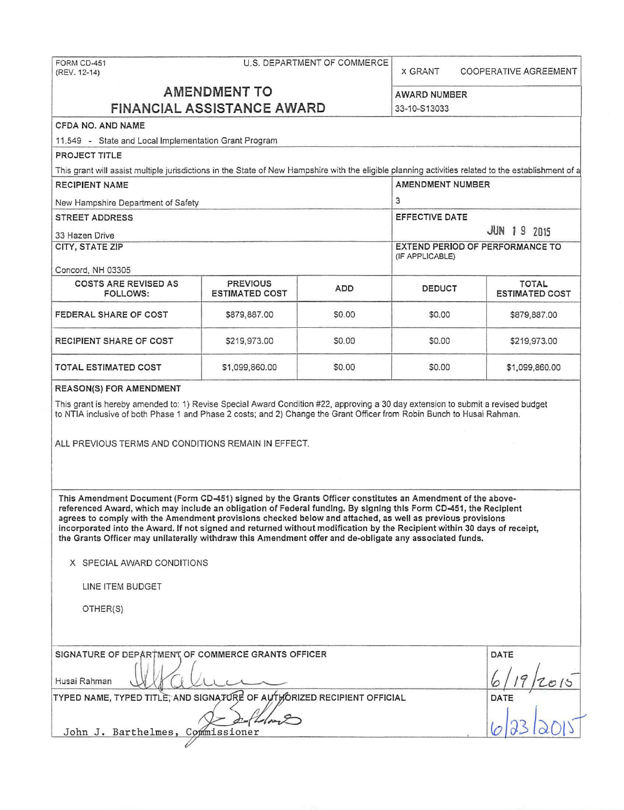| U.S. DEPARTMENT OF COMMERCE<br>FORM CD-451<br>(REV. 12-14)                                                                                                                                                                                                                                                                                                                                                                                                                                                                                                                        |                       |        | <b>X GRANT</b>        |                                                    | COOPERATIVE AGREEMENT |  |  |
|-----------------------------------------------------------------------------------------------------------------------------------------------------------------------------------------------------------------------------------------------------------------------------------------------------------------------------------------------------------------------------------------------------------------------------------------------------------------------------------------------------------------------------------------------------------------------------------|-----------------------|--------|-----------------------|----------------------------------------------------|-----------------------|--|--|
| <b>AMENDMENT TO</b>                                                                                                                                                                                                                                                                                                                                                                                                                                                                                                                                                               |                       |        | AWARD NUMBER          |                                                    |                       |  |  |
| <b>FINANCIAL ASSISTANCE AWARD</b>                                                                                                                                                                                                                                                                                                                                                                                                                                                                                                                                                 |                       |        |                       | 33-10-S13033                                       |                       |  |  |
| CFDA NO. AND NAME                                                                                                                                                                                                                                                                                                                                                                                                                                                                                                                                                                 |                       |        |                       |                                                    |                       |  |  |
| 11,549 - State and Local Implementation Grant Program                                                                                                                                                                                                                                                                                                                                                                                                                                                                                                                             |                       |        |                       |                                                    |                       |  |  |
| PROJECT TITLE                                                                                                                                                                                                                                                                                                                                                                                                                                                                                                                                                                     |                       |        |                       |                                                    |                       |  |  |
| This grant will assist multiple jurisdictions in the State of New Hampshire with the eligible planning activities related to the establishment of a                                                                                                                                                                                                                                                                                                                                                                                                                               |                       |        |                       |                                                    |                       |  |  |
| <b>RECIPIENT NAME</b>                                                                                                                                                                                                                                                                                                                                                                                                                                                                                                                                                             |                       |        | AMENDMENT NUMBER      |                                                    |                       |  |  |
| New Hampshire Department of Safety                                                                                                                                                                                                                                                                                                                                                                                                                                                                                                                                                |                       |        |                       | 3                                                  |                       |  |  |
| <b>STREET ADDRESS</b>                                                                                                                                                                                                                                                                                                                                                                                                                                                                                                                                                             |                       |        | <b>EFFECTIVE DATE</b> |                                                    |                       |  |  |
| 33 Hazen Drive                                                                                                                                                                                                                                                                                                                                                                                                                                                                                                                                                                    |                       |        | <b>JUN 19 2015</b>    |                                                    |                       |  |  |
| CITY, STATE ZIP                                                                                                                                                                                                                                                                                                                                                                                                                                                                                                                                                                   |                       |        |                       | EXTEND PERIOD OF PERFORMANCE TO<br>(IF APPLICABLE) |                       |  |  |
| Concord, NH 03305<br><b>COSTS ARE REVISED AS</b>                                                                                                                                                                                                                                                                                                                                                                                                                                                                                                                                  | <b>PREVIOUS</b>       |        |                       |                                                    | <b>TOTAL</b>          |  |  |
| FOLLOWS:                                                                                                                                                                                                                                                                                                                                                                                                                                                                                                                                                                          | <b>ESTIMATED COST</b> | ADD    | <b>DEDUCT</b>         |                                                    | <b>ESTIMATED COST</b> |  |  |
| FEDERAL SHARE OF COST                                                                                                                                                                                                                                                                                                                                                                                                                                                                                                                                                             | \$879,887.00          | \$0.00 | \$0.00                |                                                    | \$879,887.00          |  |  |
| RECIPIENT SHARE OF COST                                                                                                                                                                                                                                                                                                                                                                                                                                                                                                                                                           | \$219,973.00          | \$0.00 | \$0.00                |                                                    | \$219,973.00          |  |  |
| TOTAL ESTIMATED COST                                                                                                                                                                                                                                                                                                                                                                                                                                                                                                                                                              | \$1,099,860.00        | \$0.00 | \$0.00                |                                                    | \$1,099,860.00        |  |  |
| to NTIA inclusive of both Phase 1 and Phase 2 costs; and 2) Change the Grant Officer from Robin Bunch to Husai Rahman.<br>ALL PREVIOUS TERMS AND CONDITIONS REMAIN IN EFFECT.                                                                                                                                                                                                                                                                                                                                                                                                     |                       |        |                       |                                                    |                       |  |  |
| This Amendment Document (Form CD-451) signed by the Grants Officer constitutes an Amendment of the above-<br>referenced Award, which may include an obligation of Federal funding. By signing this Form CD-451, the Reciplent<br>agrees to comply with the Amendment provisions checked below and attached, as well as previous provisions<br>incorporated into the Award. If not signed and returned without modification by the Recipient within 30 days of receipt,<br>the Grants Officer may unilaterally withdraw this Amendment offer and de-obligate any associated funds. |                       |        |                       |                                                    |                       |  |  |
| X SPECIAL AWARD CONDITIONS                                                                                                                                                                                                                                                                                                                                                                                                                                                                                                                                                        |                       |        |                       |                                                    |                       |  |  |
| LINE ITEM BUDGET                                                                                                                                                                                                                                                                                                                                                                                                                                                                                                                                                                  |                       |        |                       |                                                    |                       |  |  |
| OTHER(S)                                                                                                                                                                                                                                                                                                                                                                                                                                                                                                                                                                          |                       |        |                       |                                                    |                       |  |  |
| SIGNATURE OF DEPARTMENT OF COMMERCE GRANTS OFFICER<br>Husai Rahman                                                                                                                                                                                                                                                                                                                                                                                                                                                                                                                |                       |        | DATE                  |                                                    |                       |  |  |
| TYPED NAME, TYPED TITLE, AND SIGNATURE OF AUTHORIZED RECIPIENT OFFICIAL<br>DATE                                                                                                                                                                                                                                                                                                                                                                                                                                                                                                   |                       |        |                       |                                                    |                       |  |  |
| John J. Barthelmes, Commissioner                                                                                                                                                                                                                                                                                                                                                                                                                                                                                                                                                  |                       |        |                       |                                                    |                       |  |  |